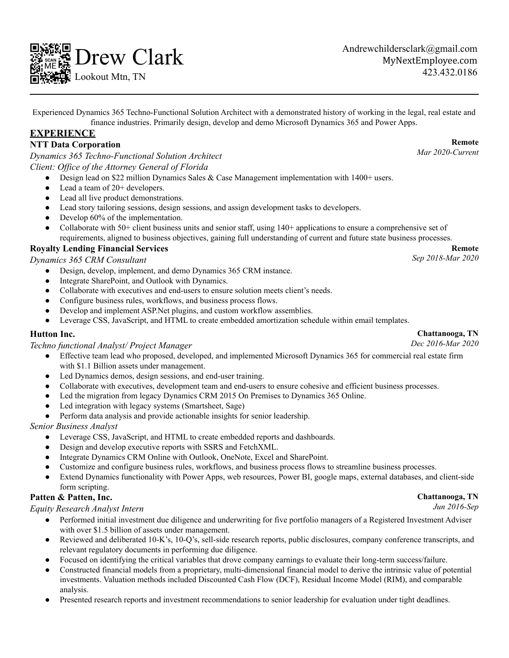

Andrewchildersclark@gmail.com MyNextEmployee.com 423.432.0186

Experienced Dynamics 365 Techno-Functional Solution Architect with a demonstrated history of working in the legal, real estate and finance industries. Primarily design, develop and demo Microsoft Dynamics 365 and Power Apps.

## **EXPERIENCE**

### **NTT Data Corporation**

*Dynamics 365 Techno-Functional Solution Architect Client: Of ice of the Attorney General of Florida*

- Design lead on \$22 million Dynamics Sales & Case Management implementation with 1400+ users.
- Lead a team of  $20+$  developers.
- Lead all live product demonstrations.
- Lead story tailoring sessions, design sessions, and assign development tasks to developers.
- Develop 60% of the implementation.
- Collaborate with 50+ client business units and senior staff, using  $140+$  applications to ensure a comprehensive set of requirements, aligned to business objectives, gaining full understanding of current and future state business processes.

#### **Royalty Lending Financial Services**

*Dynamics 365 CRM Consultant*

- Design, develop, implement, and demo Dynamics 365 CRM instance.
- Integrate SharePoint, and Outlook with Dynamics.
- Collaborate with executives and end-users to ensure solution meets client's needs.
- Configure business rules, workflows, and business process flows.
- Develop and implement ASP.Net plugins, and custom workflow assemblies.
- Leverage CSS, JavaScript, and HTML to create embedded amortization schedule within email templates.

#### **Hutton Inc.**

*Techno functional Analyst/ Project Manager*

- Effective team lead who proposed, developed, and implemented Microsoft Dynamics 365 for commercial real estate firm with \$1.1 Billion assets under management.
- Led Dynamics demos, design sessions, and end-user training.
- Collaborate with executives, development team and end-users to ensure cohesive and efficient business processes.
- Led the migration from legacy Dynamics CRM 2015 On Premises to Dynamics 365 Online.
- Led integration with legacy systems (Smartsheet, Sage)
- Perform data analysis and provide actionable insights for senior leadership.

#### *Senior Business Analyst*

- Leverage CSS, JavaScript, and HTML to create embedded reports and dashboards.
- Design and develop executive reports with SSRS and FetchXML.
- Integrate Dynamics CRM Online with Outlook, OneNote, Excel and SharePoint.
- Customize and configure business rules, workflows, and business process flows to streamline business processes.
- Extend Dynamics functionality with Power Apps, web resources, Power BI, google maps, external databases, and client-side form scripting.

#### **Patten & Patten, Inc.**

*Equity Research Analyst Intern*

- Performed initial investment due diligence and underwriting for five portfolio managers of a Registered Investment Adviser with over \$1.5 billion of assets under management.
- Reviewed and deliberated 10-K's, 10-Q's, sell-side research reports, public disclosures, company conference transcripts, and relevant regulatory documents in performing due diligence.
- Focused on identifying the critical variables that drove company earnings to evaluate their long-term success/failure.
- Constructed financial models from a proprietary, multi-dimensional financial model to derive the intrinsic value of potential investments. Valuation methods included Discounted Cash Flow (DCF), Residual Income Model (RIM), and comparable analysis.
- Presented research reports and investment recommendations to senior leadership for evaluation under tight deadlines.

#### **Remote**

*Mar 2020-Current*

#### **Remote**

*Sep 2018-Mar 2020*

#### **Chattanooga, TN** *Dec 2016-Mar 2020*

**Chattanooga, TN** *Jun 2016-Sep*